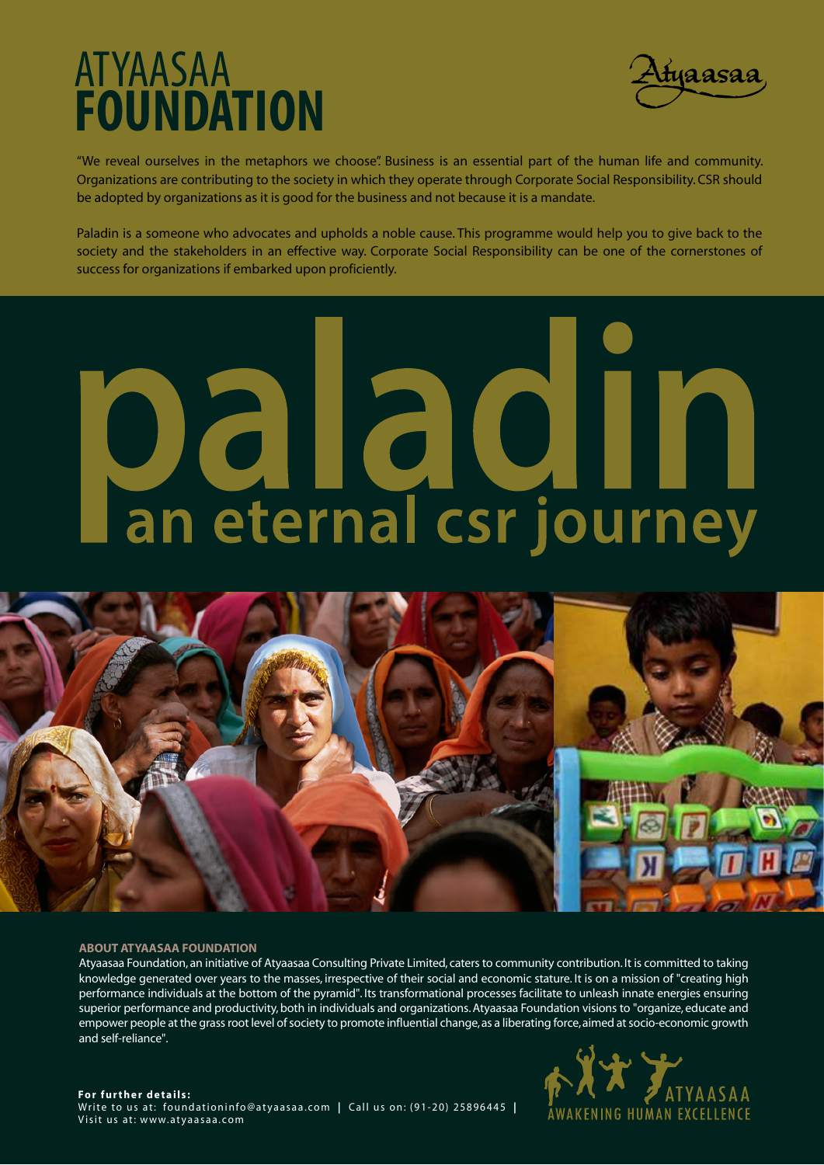### ATYAASAA **FOUNDATION**



"We reveal ourselves in the metaphors we choose". Business is an essential part of the human life and community. Organizations are contributing to the society in which they operate through Corporate Social Responsibility. CSR should be adopted by organizations as it is good for the business and not because it is a mandate.

Paladin is a someone who advocates and upholds a noble cause. This programme would help you to give back to the society and the stakeholders in an effective way. Corporate Social Responsibility can be one of the cornerstones of success for organizations if embarked upon proficiently.

# paladin<br>Ian eternal csr journey



#### **ABOUT ATYAASAA FOUNDATION**

Atyaasaa Foundation, an initiative of Atyaasaa Consulting Private Limited, caters to community contribution. It is committed to taking knowledge generated over years to the masses, irrespective of their social and economic stature. It is on a mission of "creating high performance individuals at the bottom of the pyramid". Its transformational processes facilitate to unleash innate energies ensuring superior performance and productivity, both in individuals and organizations. Atyaasaa Foundation visions to "organize, educate and empower people at the grass root level of society to promote influential change, as a liberating force, aimed at socio-economic growth and self-reliance".



**For further details:**  Write to us at: foundationinfo@atyaasaa.com **|** Call us on: (91-20) 25896445 **|**  Visit us at: www.atyaasaa.com